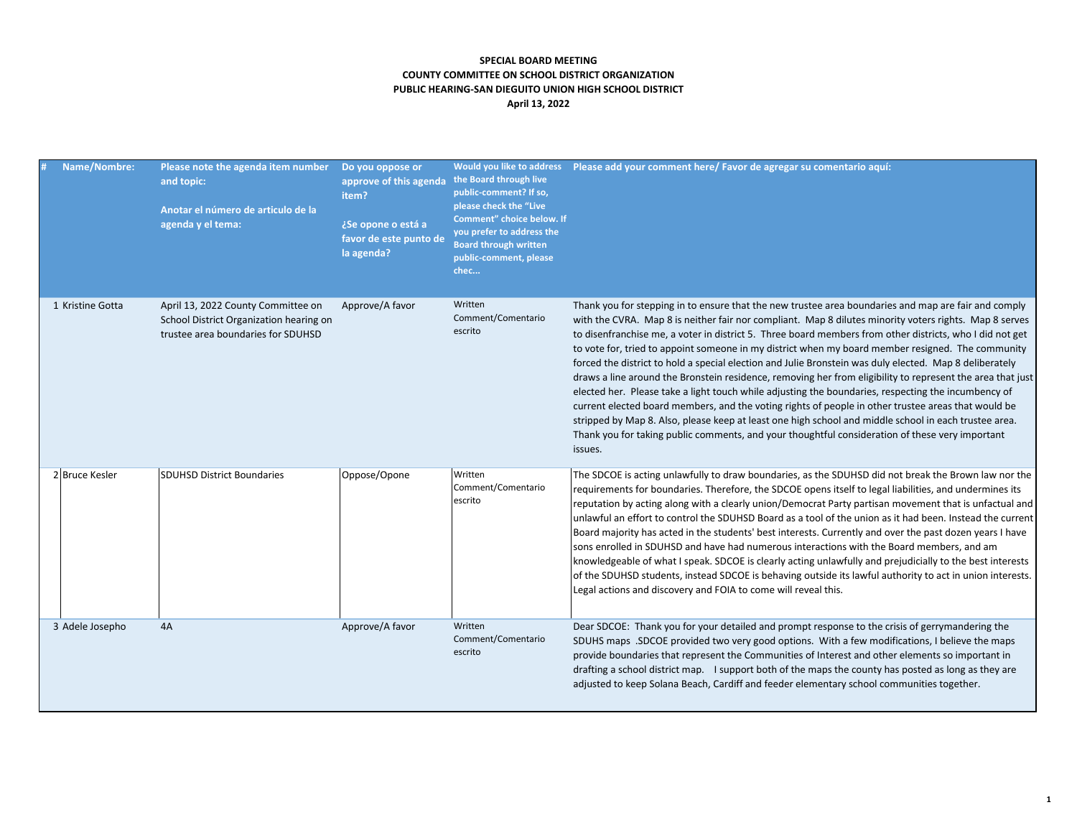## **SPECIAL BOARD MEETING COUNTY COMMITTEE ON SCHOOL DISTRICT ORGANIZATION PUBLIC HEARING-SAN DIEGUITO UNION HIGH SCHOOL DISTRICT April 13, 2022**

| Name/Nombre:     | Please note the agenda item number<br>and topic:<br>Anotar el número de articulo de la<br>agenda y el tema:         | Do you oppose or<br>approve of this agenda<br>item?<br>¿Se opone o está a<br>favor de este punto de<br>la agenda? | Would you like to address<br>the Board through live<br>public-comment? If so,<br>please check the "Live<br>Comment" choice below. If<br>you prefer to address the<br><b>Board through written</b><br>public-comment, please<br>chec | Please add your comment here/ Favor de agregar su comentario aquí:                                                                                                                                                                                                                                                                                                                                                                                                                                                                                                                                                                                                                                                                                                                                                                                                                                                                                                                                                                                                                            |
|------------------|---------------------------------------------------------------------------------------------------------------------|-------------------------------------------------------------------------------------------------------------------|-------------------------------------------------------------------------------------------------------------------------------------------------------------------------------------------------------------------------------------|-----------------------------------------------------------------------------------------------------------------------------------------------------------------------------------------------------------------------------------------------------------------------------------------------------------------------------------------------------------------------------------------------------------------------------------------------------------------------------------------------------------------------------------------------------------------------------------------------------------------------------------------------------------------------------------------------------------------------------------------------------------------------------------------------------------------------------------------------------------------------------------------------------------------------------------------------------------------------------------------------------------------------------------------------------------------------------------------------|
| 1 Kristine Gotta | April 13, 2022 County Committee on<br>School District Organization hearing on<br>trustee area boundaries for SDUHSD | Approve/A favor                                                                                                   | Written<br>Comment/Comentario<br>escrito                                                                                                                                                                                            | Thank you for stepping in to ensure that the new trustee area boundaries and map are fair and comply<br>with the CVRA. Map 8 is neither fair nor compliant. Map 8 dilutes minority voters rights. Map 8 serves<br>to disenfranchise me, a voter in district 5. Three board members from other districts, who I did not get<br>to vote for, tried to appoint someone in my district when my board member resigned. The community<br>forced the district to hold a special election and Julie Bronstein was duly elected. Map 8 deliberately<br>draws a line around the Bronstein residence, removing her from eligibility to represent the area that just<br>elected her. Please take a light touch while adjusting the boundaries, respecting the incumbency of<br>current elected board members, and the voting rights of people in other trustee areas that would be<br>stripped by Map 8. Also, please keep at least one high school and middle school in each trustee area.<br>Thank you for taking public comments, and your thoughtful consideration of these very important<br>issues. |
| 2 Bruce Kesler   | <b>SDUHSD District Boundaries</b>                                                                                   | Oppose/Opone                                                                                                      | Written<br>Comment/Comentario<br>escrito                                                                                                                                                                                            | The SDCOE is acting unlawfully to draw boundaries, as the SDUHSD did not break the Brown law nor the<br>requirements for boundaries. Therefore, the SDCOE opens itself to legal liabilities, and undermines its<br>reputation by acting along with a clearly union/Democrat Party partisan movement that is unfactual and<br>unlawful an effort to control the SDUHSD Board as a tool of the union as it had been. Instead the current<br>Board majority has acted in the students' best interests. Currently and over the past dozen years I have<br>sons enrolled in SDUHSD and have had numerous interactions with the Board members, and am<br>knowledgeable of what I speak. SDCOE is clearly acting unlawfully and prejudicially to the best interests<br>of the SDUHSD students, instead SDCOE is behaving outside its lawful authority to act in union interests.<br>Legal actions and discovery and FOIA to come will reveal this.                                                                                                                                                   |
| 3 Adele Josepho  | 4A                                                                                                                  | Approve/A favor                                                                                                   | Written<br>Comment/Comentario<br>escrito                                                                                                                                                                                            | Dear SDCOE: Thank you for your detailed and prompt response to the crisis of gerrymandering the<br>SDUHS maps .SDCOE provided two very good options. With a few modifications, I believe the maps<br>provide boundaries that represent the Communities of Interest and other elements so important in<br>drafting a school district map. I support both of the maps the county has posted as long as they are<br>adjusted to keep Solana Beach, Cardiff and feeder elementary school communities together.                                                                                                                                                                                                                                                                                                                                                                                                                                                                                                                                                                                    |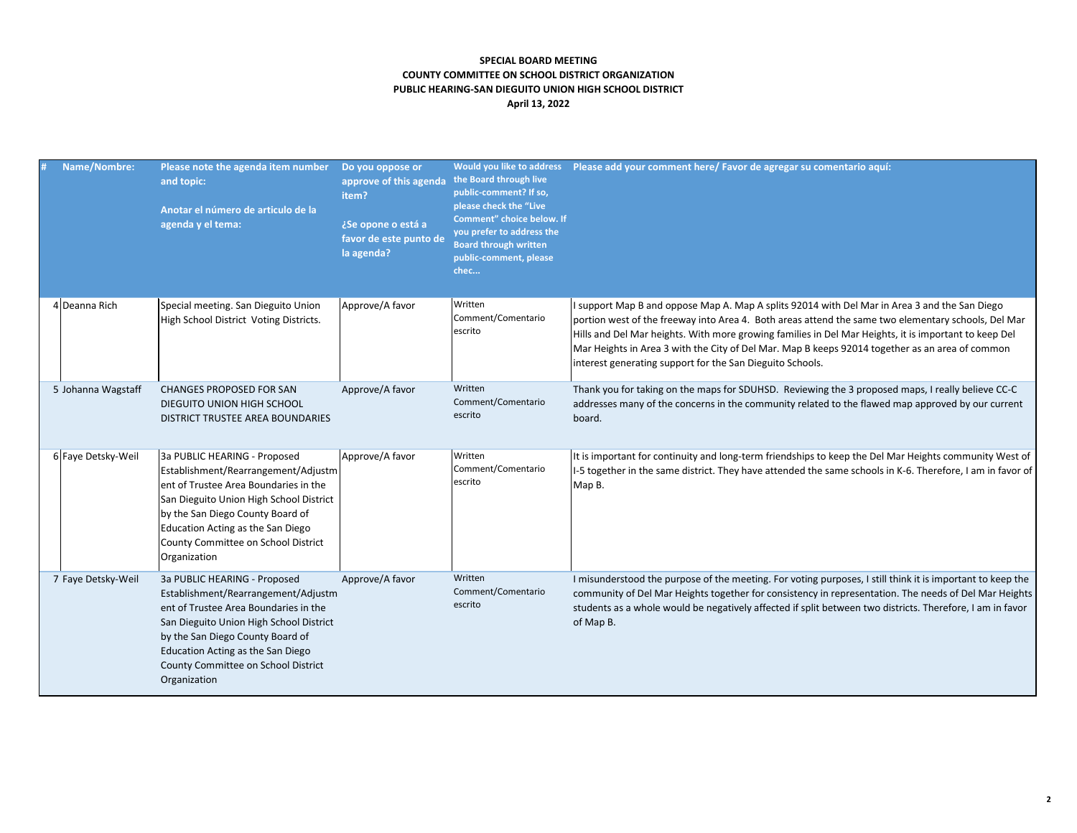## **SPECIAL BOARD MEETING COUNTY COMMITTEE ON SCHOOL DISTRICT ORGANIZATION PUBLIC HEARING-SAN DIEGUITO UNION HIGH SCHOOL DISTRICT April 13, 2022**

| Name/Nombre:       | Please note the agenda item number<br>and topic:<br>Anotar el número de articulo de la<br>agenda y el tema:                                                                                                                                                                             | Do you oppose or<br>approve of this agenda<br>item?<br>¿Se opone o está a<br>favor de este punto de<br>la agenda? | the Board through live<br>public-comment? If so,<br>please check the "Live<br>Comment" choice below. If<br>you prefer to address the<br><b>Board through written</b><br>public-comment, please<br>chec | Would you like to address    Please add your comment here/ Favor de agregar su comentario aquí:                                                                                                                                                                                                                                                                                                                                                                               |
|--------------------|-----------------------------------------------------------------------------------------------------------------------------------------------------------------------------------------------------------------------------------------------------------------------------------------|-------------------------------------------------------------------------------------------------------------------|--------------------------------------------------------------------------------------------------------------------------------------------------------------------------------------------------------|-------------------------------------------------------------------------------------------------------------------------------------------------------------------------------------------------------------------------------------------------------------------------------------------------------------------------------------------------------------------------------------------------------------------------------------------------------------------------------|
| 4 Deanna Rich      | Special meeting. San Dieguito Union<br>High School District Voting Districts.                                                                                                                                                                                                           | Approve/A favor                                                                                                   | Written<br>Comment/Comentario<br>escrito                                                                                                                                                               | I support Map B and oppose Map A. Map A splits 92014 with Del Mar in Area 3 and the San Diego<br>portion west of the freeway into Area 4. Both areas attend the same two elementary schools, Del Mar<br>Hills and Del Mar heights. With more growing families in Del Mar Heights, it is important to keep Del<br>Mar Heights in Area 3 with the City of Del Mar. Map B keeps 92014 together as an area of common<br>interest generating support for the San Dieguito Schools. |
| 5 Johanna Wagstaff | <b>CHANGES PROPOSED FOR SAN</b><br>DIEGUITO UNION HIGH SCHOOL<br>DISTRICT TRUSTEE AREA BOUNDARIES                                                                                                                                                                                       | Approve/A favor                                                                                                   | Written<br>Comment/Comentario<br>escrito                                                                                                                                                               | Thank you for taking on the maps for SDUHSD. Reviewing the 3 proposed maps, I really believe CC-C<br>addresses many of the concerns in the community related to the flawed map approved by our current<br>board.                                                                                                                                                                                                                                                              |
| 6 Faye Detsky-Weil | 3a PUBLIC HEARING - Proposed<br>Establishment/Rearrangement/Adjustm<br>ent of Trustee Area Boundaries in the<br>San Dieguito Union High School District<br>by the San Diego County Board of<br>Education Acting as the San Diego<br>County Committee on School District<br>Organization | Approve/A favor                                                                                                   | Written<br>Comment/Comentario<br>escrito                                                                                                                                                               | It is important for continuity and long-term friendships to keep the Del Mar Heights community West of<br>1-5 together in the same district. They have attended the same schools in K-6. Therefore, I am in favor of<br>Map B.                                                                                                                                                                                                                                                |
| 7 Faye Detsky-Weil | 3a PUBLIC HEARING - Proposed<br>Establishment/Rearrangement/Adjustm<br>ent of Trustee Area Boundaries in the<br>San Dieguito Union High School District<br>by the San Diego County Board of<br>Education Acting as the San Diego<br>County Committee on School District<br>Organization | Approve/A favor                                                                                                   | Written<br>Comment/Comentario<br>escrito                                                                                                                                                               | I misunderstood the purpose of the meeting. For voting purposes, I still think it is important to keep the<br>community of Del Mar Heights together for consistency in representation. The needs of Del Mar Heights<br>students as a whole would be negatively affected if split between two districts. Therefore, I am in favor<br>of Map B.                                                                                                                                 |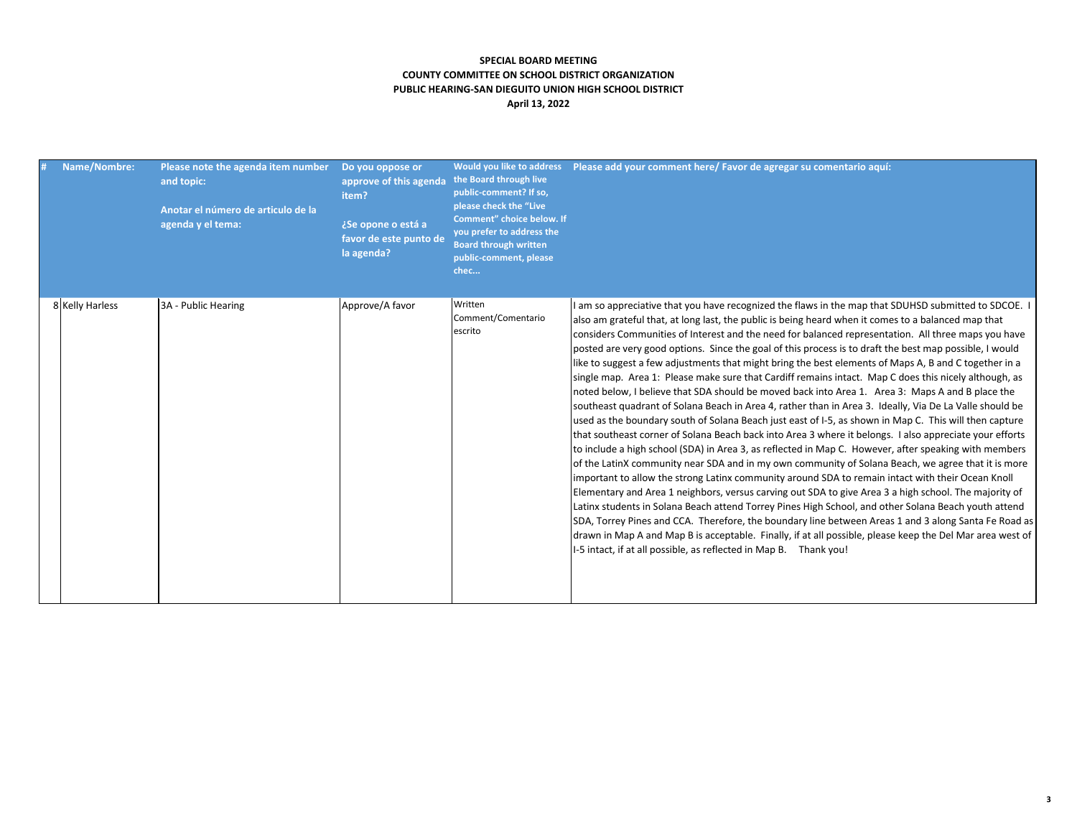## **SPECIAL BOARD MEETING COUNTY COMMITTEE ON SCHOOL DISTRICT ORGANIZATION PUBLIC HEARING-SAN DIEGUITO UNION HIGH SCHOOL DISTRICT April 13, 2022**

| Name/Nombre:    | Please note the agenda item number<br>and topic:<br>Anotar el número de articulo de la<br>agenda y el tema: | Do you oppose or<br>approve of this agenda<br>item?<br>¿Se opone o está a<br>favor de este punto de<br>la agenda? | Would you like to address<br>the Board through live<br>public-comment? If so,<br>please check the "Live<br>Comment" choice below. If<br>you prefer to address the<br><b>Board through written</b><br>public-comment, please<br>chec | Please add your comment here/ Favor de agregar su comentario aquí:                                                                                                                                                                                                                                                                                                                                                                                                                                                                                                                                                                                                                                                                                                                                                                                                                                                                                                                                                                                                                                                                                                                                                                                                                                                                                                                                                                                                                                                                                                                                                                                                                                                                                                                                                                                                                                                 |
|-----------------|-------------------------------------------------------------------------------------------------------------|-------------------------------------------------------------------------------------------------------------------|-------------------------------------------------------------------------------------------------------------------------------------------------------------------------------------------------------------------------------------|--------------------------------------------------------------------------------------------------------------------------------------------------------------------------------------------------------------------------------------------------------------------------------------------------------------------------------------------------------------------------------------------------------------------------------------------------------------------------------------------------------------------------------------------------------------------------------------------------------------------------------------------------------------------------------------------------------------------------------------------------------------------------------------------------------------------------------------------------------------------------------------------------------------------------------------------------------------------------------------------------------------------------------------------------------------------------------------------------------------------------------------------------------------------------------------------------------------------------------------------------------------------------------------------------------------------------------------------------------------------------------------------------------------------------------------------------------------------------------------------------------------------------------------------------------------------------------------------------------------------------------------------------------------------------------------------------------------------------------------------------------------------------------------------------------------------------------------------------------------------------------------------------------------------|
| 8 Kelly Harless | 3A - Public Hearing                                                                                         | Approve/A favor                                                                                                   | Written<br>Comment/Comentario<br>escrito                                                                                                                                                                                            | I am so appreciative that you have recognized the flaws in the map that SDUHSD submitted to SDCOE. I<br>also am grateful that, at long last, the public is being heard when it comes to a balanced map that<br>considers Communities of Interest and the need for balanced representation. All three maps you have<br>posted are very good options. Since the goal of this process is to draft the best map possible, I would<br>like to suggest a few adjustments that might bring the best elements of Maps A, B and C together in a<br>single map. Area 1: Please make sure that Cardiff remains intact. Map C does this nicely although, as<br>noted below, I believe that SDA should be moved back into Area 1. Area 3: Maps A and B place the<br>southeast quadrant of Solana Beach in Area 4, rather than in Area 3. Ideally, Via De La Valle should be<br>used as the boundary south of Solana Beach just east of I-5, as shown in Map C. This will then capture<br>that southeast corner of Solana Beach back into Area 3 where it belongs. I also appreciate your efforts<br>to include a high school (SDA) in Area 3, as reflected in Map C. However, after speaking with members<br>of the LatinX community near SDA and in my own community of Solana Beach, we agree that it is more<br>important to allow the strong Latinx community around SDA to remain intact with their Ocean Knoll<br>Elementary and Area 1 neighbors, versus carving out SDA to give Area 3 a high school. The majority of<br>Latinx students in Solana Beach attend Torrey Pines High School, and other Solana Beach youth attend<br>SDA, Torrey Pines and CCA. Therefore, the boundary line between Areas 1 and 3 along Santa Fe Road as<br>drawn in Map A and Map B is acceptable. Finally, if at all possible, please keep the Del Mar area west of<br>I-5 intact, if at all possible, as reflected in Map B. Thank you! |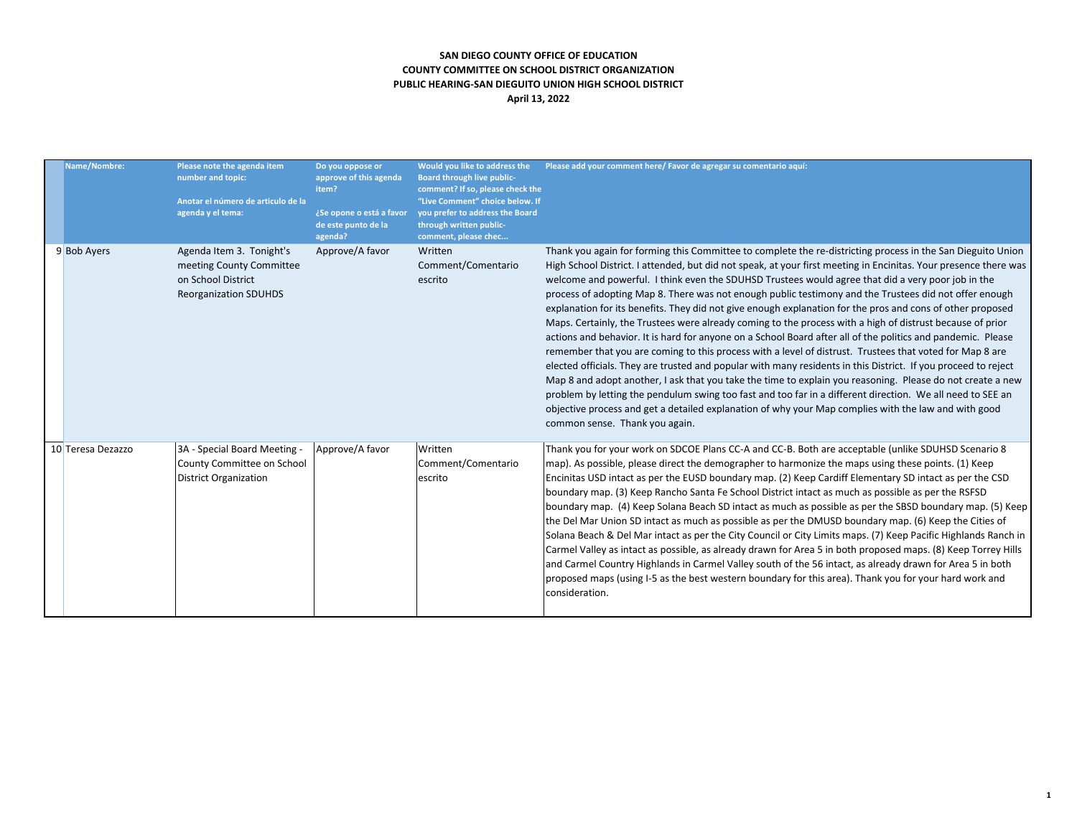# **SAN DIEGO COUNTY OFFICE OF EDUCATION COUNTY COMMITTEE ON SCHOOL DISTRICT ORGANIZATION PUBLIC HEARING-SAN DIEGUITO UNION HIGH SCHOOL DISTRICT April 13, 2022**

| Name/Nombre:      | Please note the agenda item<br>number and topic:<br>Anotar el número de articulo de la<br>agenda y el tema: | Do you oppose or<br>approve of this agenda<br>item?<br>¿Se opone o está a favor<br>de este punto de la<br>agenda? | Board through live public-<br>comment? If so, please check the<br>"Live Comment" choice below. If<br>you prefer to address the Board<br>through written public-<br>comment, please chec | Would you like to address the Please add your comment here/ Favor de agregar su comentario aquí:                                                                                                                                                                                                                                                                                                                                                                                                                                                                                                                                                                                                                                                                                                                                                                                                                                                                                                                                                                                                                                                                                                                                                                                                                                                                                               |
|-------------------|-------------------------------------------------------------------------------------------------------------|-------------------------------------------------------------------------------------------------------------------|-----------------------------------------------------------------------------------------------------------------------------------------------------------------------------------------|------------------------------------------------------------------------------------------------------------------------------------------------------------------------------------------------------------------------------------------------------------------------------------------------------------------------------------------------------------------------------------------------------------------------------------------------------------------------------------------------------------------------------------------------------------------------------------------------------------------------------------------------------------------------------------------------------------------------------------------------------------------------------------------------------------------------------------------------------------------------------------------------------------------------------------------------------------------------------------------------------------------------------------------------------------------------------------------------------------------------------------------------------------------------------------------------------------------------------------------------------------------------------------------------------------------------------------------------------------------------------------------------|
| 9 Bob Ayers       | Agenda Item 3. Tonight's<br>meeting County Committee<br>on School District<br><b>Reorganization SDUHDS</b>  | Approve/A favor                                                                                                   | Written<br>Comment/Comentario<br>escrito                                                                                                                                                | Thank you again for forming this Committee to complete the re-districting process in the San Dieguito Union<br>High School District. I attended, but did not speak, at your first meeting in Encinitas. Your presence there was<br>welcome and powerful. I think even the SDUHSD Trustees would agree that did a very poor job in the<br>process of adopting Map 8. There was not enough public testimony and the Trustees did not offer enough<br>explanation for its benefits. They did not give enough explanation for the pros and cons of other proposed<br>Maps. Certainly, the Trustees were already coming to the process with a high of distrust because of prior<br>actions and behavior. It is hard for anyone on a School Board after all of the politics and pandemic. Please<br>remember that you are coming to this process with a level of distrust. Trustees that voted for Map 8 are<br>elected officials. They are trusted and popular with many residents in this District. If you proceed to reject<br>Map 8 and adopt another, I ask that you take the time to explain you reasoning. Please do not create a new<br>problem by letting the pendulum swing too fast and too far in a different direction. We all need to SEE an<br>objective process and get a detailed explanation of why your Map complies with the law and with good<br>common sense. Thank you again. |
| 10 Teresa Dezazzo | 3A - Special Board Meeting -<br>County Committee on School<br><b>District Organization</b>                  | Approve/A favor                                                                                                   | Written<br>Comment/Comentario<br>escrito                                                                                                                                                | Thank you for your work on SDCOE Plans CC-A and CC-B. Both are acceptable (unlike SDUHSD Scenario 8<br>map). As possible, please direct the demographer to harmonize the maps using these points. (1) Keep<br>Encinitas USD intact as per the EUSD boundary map. (2) Keep Cardiff Elementary SD intact as per the CSD<br>boundary map. (3) Keep Rancho Santa Fe School District intact as much as possible as per the RSFSD<br>boundary map. (4) Keep Solana Beach SD intact as much as possible as per the SBSD boundary map. (5) Keep<br>the Del Mar Union SD intact as much as possible as per the DMUSD boundary map. (6) Keep the Cities of<br>Solana Beach & Del Mar intact as per the City Council or City Limits maps. (7) Keep Pacific Highlands Ranch in<br>Carmel Valley as intact as possible, as already drawn for Area 5 in both proposed maps. (8) Keep Torrey Hills<br>and Carmel Country Highlands in Carmel Valley south of the 56 intact, as already drawn for Area 5 in both<br>proposed maps (using I-5 as the best western boundary for this area). Thank you for your hard work and<br>consideration.                                                                                                                                                                                                                                                                   |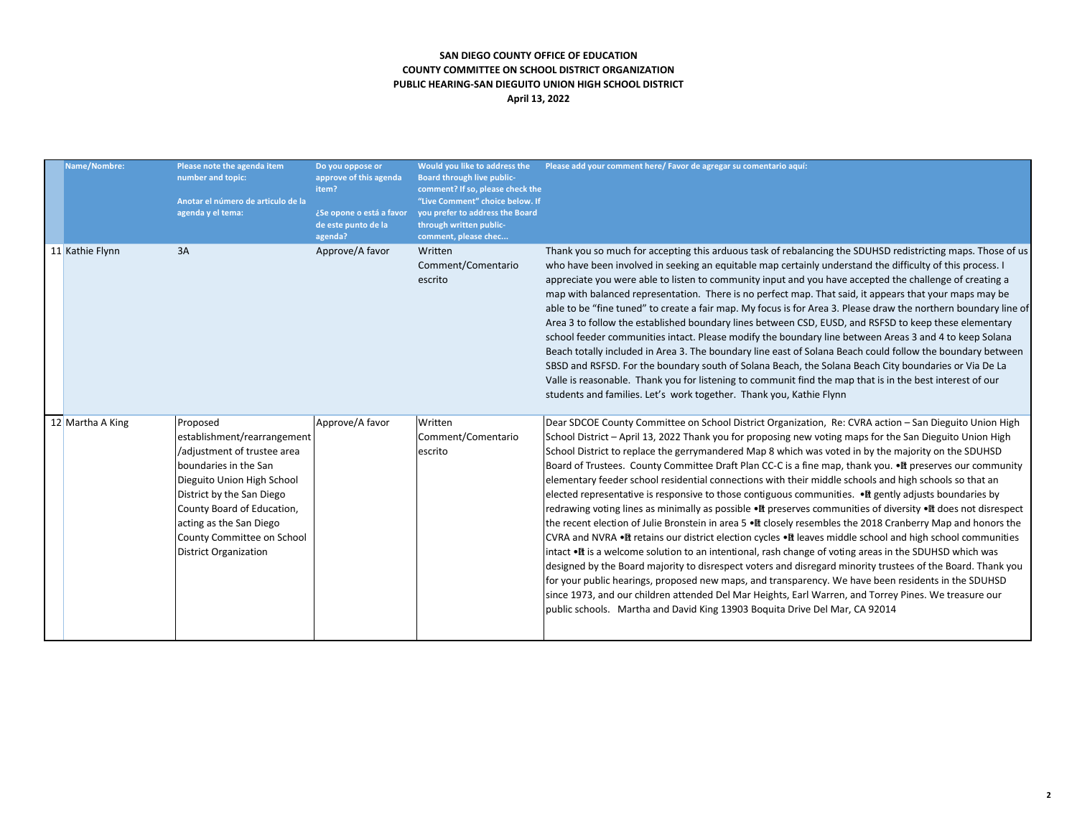# **SAN DIEGO COUNTY OFFICE OF EDUCATION COUNTY COMMITTEE ON SCHOOL DISTRICT ORGANIZATION PUBLIC HEARING-SAN DIEGUITO UNION HIGH SCHOOL DISTRICT April 13, 2022**

| Name/Nombre:     | Please note the agenda item<br>number and topic:<br>Anotar el número de articulo de la<br>agenda y el tema:                                                                                                                                                                       | Do you oppose or<br>approve of this agenda<br>item?<br>¿Se opone o está a favor<br>de este punto de la<br>agenda? | Would you like to address the<br><b>Board through live public-</b><br>comment? If so, please check the<br>"Live Comment" choice below. If<br>you prefer to address the Board<br>through written public-<br>comment, please chec | Please add your comment here/ Favor de agregar su comentario aquí:                                                                                                                                                                                                                                                                                                                                                                                                                                                                                                                                                                                                                                                                                                                                                                                                                                                                                                                                                                                                                                                                                                                                                                                                                                                                                                                                                                                                                                                                                        |
|------------------|-----------------------------------------------------------------------------------------------------------------------------------------------------------------------------------------------------------------------------------------------------------------------------------|-------------------------------------------------------------------------------------------------------------------|---------------------------------------------------------------------------------------------------------------------------------------------------------------------------------------------------------------------------------|-----------------------------------------------------------------------------------------------------------------------------------------------------------------------------------------------------------------------------------------------------------------------------------------------------------------------------------------------------------------------------------------------------------------------------------------------------------------------------------------------------------------------------------------------------------------------------------------------------------------------------------------------------------------------------------------------------------------------------------------------------------------------------------------------------------------------------------------------------------------------------------------------------------------------------------------------------------------------------------------------------------------------------------------------------------------------------------------------------------------------------------------------------------------------------------------------------------------------------------------------------------------------------------------------------------------------------------------------------------------------------------------------------------------------------------------------------------------------------------------------------------------------------------------------------------|
| 11 Kathie Flynn  | 3A                                                                                                                                                                                                                                                                                | Approve/A favor                                                                                                   | Written<br>Comment/Comentario<br>escrito                                                                                                                                                                                        | Thank you so much for accepting this arduous task of rebalancing the SDUHSD redistricting maps. Those of us<br>who have been involved in seeking an equitable map certainly understand the difficulty of this process. I<br>appreciate you were able to listen to community input and you have accepted the challenge of creating a<br>map with balanced representation. There is no perfect map. That said, it appears that your maps may be<br>able to be "fine tuned" to create a fair map. My focus is for Area 3. Please draw the northern boundary line of<br>Area 3 to follow the established boundary lines between CSD, EUSD, and RSFSD to keep these elementary<br>school feeder communities intact. Please modify the boundary line between Areas 3 and 4 to keep Solana<br>Beach totally included in Area 3. The boundary line east of Solana Beach could follow the boundary between<br>SBSD and RSFSD. For the boundary south of Solana Beach, the Solana Beach City boundaries or Via De La<br>Valle is reasonable. Thank you for listening to communit find the map that is in the best interest of our<br>students and families. Let's work together. Thank you, Kathie Flynn                                                                                                                                                                                                                                                                                                                                                            |
| 12 Martha A King | Proposed<br>establishment/rearrangement<br>/adjustment of trustee area<br>boundaries in the San<br>Dieguito Union High School<br>District by the San Diego<br>County Board of Education,<br>acting as the San Diego<br>County Committee on School<br><b>District Organization</b> | Approve/A favor                                                                                                   | Written<br>Comment/Comentario<br>escrito                                                                                                                                                                                        | Dear SDCOE County Committee on School District Organization, Re: CVRA action - San Dieguito Union High<br>School District – April 13, 2022 Thank you for proposing new voting maps for the San Dieguito Union High<br>School District to replace the gerrymandered Map 8 which was voted in by the majority on the SDUHSD<br>Board of Trustees. County Committee Draft Plan CC-C is a fine map, thank you. • If preserves our community<br>elementary feeder school residential connections with their middle schools and high schools so that an<br>elected representative is responsive to those contiguous communities. • If gently adjusts boundaries by<br>redrawing voting lines as minimally as possible •It preserves communities of diversity •It does not disrespect<br>the recent election of Julie Bronstein in area 5 $\bullet \mathbb{R}$ closely resembles the 2018 Cranberry Map and honors the<br>CVRA and NVRA . It retains our district election cycles . It leaves middle school and high school communities<br>intact •It is a welcome solution to an intentional, rash change of voting areas in the SDUHSD which was<br>designed by the Board majority to disrespect voters and disregard minority trustees of the Board. Thank you<br>for your public hearings, proposed new maps, and transparency. We have been residents in the SDUHSD<br>since 1973, and our children attended Del Mar Heights, Earl Warren, and Torrey Pines. We treasure our<br>public schools. Martha and David King 13903 Boquita Drive Del Mar, CA 92014 |